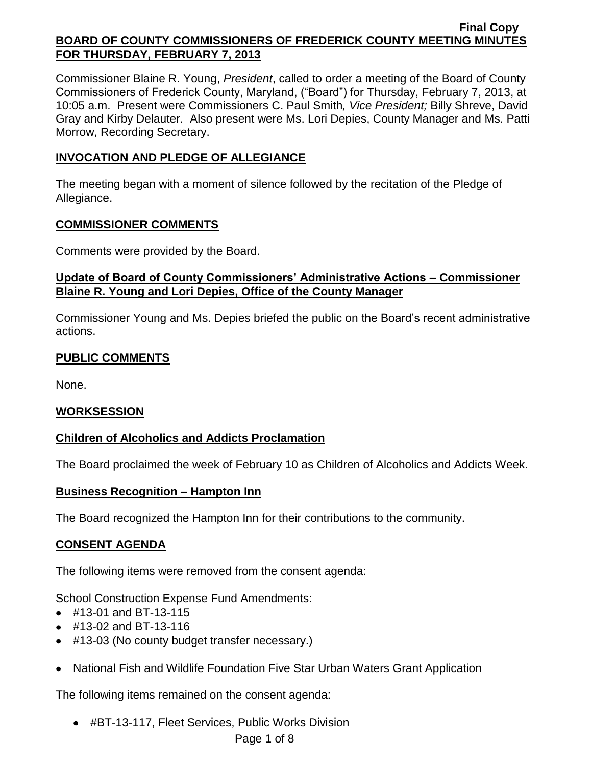Commissioner Blaine R. Young, *President*, called to order a meeting of the Board of County Commissioners of Frederick County, Maryland, ("Board") for Thursday, February 7, 2013, at 10:05 a.m. Present were Commissioners C. Paul Smith*, Vice President;* Billy Shreve, David Gray and Kirby Delauter. Also present were Ms. Lori Depies, County Manager and Ms. Patti Morrow, Recording Secretary.

# **INVOCATION AND PLEDGE OF ALLEGIANCE**

The meeting began with a moment of silence followed by the recitation of the Pledge of Allegiance.

### **COMMISSIONER COMMENTS**

Comments were provided by the Board.

## **Update of Board of County Commissioners' Administrative Actions – Commissioner Blaine R. Young and Lori Depies, Office of the County Manager**

Commissioner Young and Ms. Depies briefed the public on the Board's recent administrative actions.

# **PUBLIC COMMENTS**

None.

## **WORKSESSION**

# **Children of Alcoholics and Addicts Proclamation**

The Board proclaimed the week of February 10 as Children of Alcoholics and Addicts Week.

## **Business Recognition – Hampton Inn**

The Board recognized the Hampton Inn for their contributions to the community.

# **CONSENT AGENDA**

The following items were removed from the consent agenda:

School Construction Expense Fund Amendments:

- #13-01 and BT-13-115
- #13-02 and BT-13-116
- #13-03 (No county budget transfer necessary.)
- National Fish and Wildlife Foundation Five Star Urban Waters Grant Application

The following items remained on the consent agenda:

#BT-13-117, Fleet Services, Public Works Division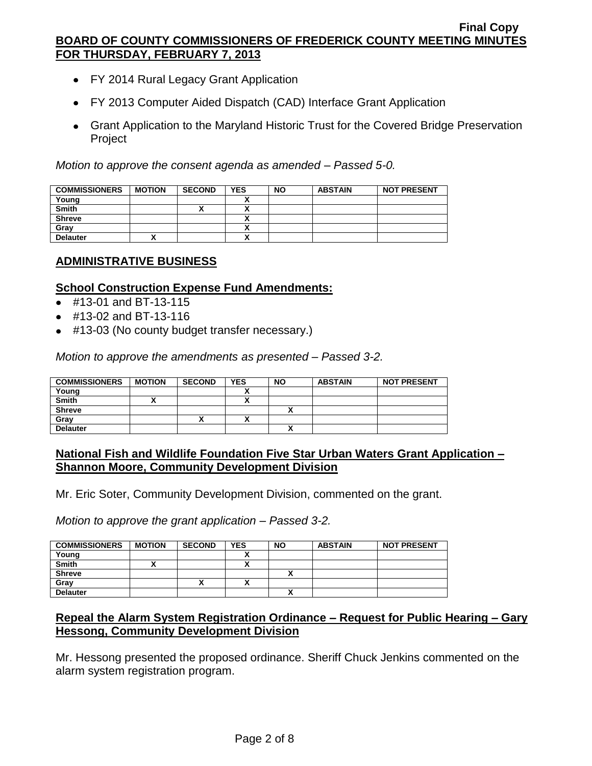- FY 2014 Rural Legacy Grant Application
- FY 2013 Computer Aided Dispatch (CAD) Interface Grant Application
- Grant Application to the Maryland Historic Trust for the Covered Bridge Preservation Project

*Motion to approve the consent agenda as amended – Passed 5-0.*

| <b>COMMISSIONERS</b> | <b>MOTION</b> | <b>SECOND</b> | <b>YES</b> | <b>NO</b> | <b>ABSTAIN</b> | <b>NOT PRESENT</b> |
|----------------------|---------------|---------------|------------|-----------|----------------|--------------------|
| Young                |               |               |            |           |                |                    |
| <b>Smith</b>         |               |               |            |           |                |                    |
| <b>Shreve</b>        |               |               |            |           |                |                    |
| Grav                 |               |               |            |           |                |                    |
| <b>Delauter</b>      |               |               |            |           |                |                    |

## **ADMINISTRATIVE BUSINESS**

#### **School Construction Expense Fund Amendments:**

- #13-01 and BT-13-115
- #13-02 and BT-13-116
- #13-03 (No county budget transfer necessary.)

*Motion to approve the amendments as presented – Passed 3-2.*

| <b>COMMISSIONERS</b> | <b>MOTION</b> | <b>SECOND</b> | YES | <b>NO</b> | <b>ABSTAIN</b> | <b>NOT PRESENT</b> |
|----------------------|---------------|---------------|-----|-----------|----------------|--------------------|
| Young                |               |               |     |           |                |                    |
| <b>Smith</b>         |               |               |     |           |                |                    |
| <b>Shreve</b>        |               |               |     |           |                |                    |
| Grav                 |               | ,,            |     |           |                |                    |
| <b>Delauter</b>      |               |               |     |           |                |                    |

## **National Fish and Wildlife Foundation Five Star Urban Waters Grant Application – Shannon Moore, Community Development Division**

Mr. Eric Soter, Community Development Division, commented on the grant.

*Motion to approve the grant application – Passed 3-2.*

| <b>COMMISSIONERS</b> | <b>MOTION</b> | <b>SECOND</b> | <b>YES</b> | <b>NO</b> | <b>ABSTAIN</b> | <b>NOT PRESENT</b> |
|----------------------|---------------|---------------|------------|-----------|----------------|--------------------|
| Young                |               |               |            |           |                |                    |
| <b>Smith</b>         |               |               | ~          |           |                |                    |
| <b>Shreve</b>        |               |               |            |           |                |                    |
| Gray                 |               |               | ~          |           |                |                    |
| <b>Delauter</b>      |               |               |            |           |                |                    |

## **Repeal the Alarm System Registration Ordinance – Request for Public Hearing – Gary Hessong, Community Development Division**

Mr. Hessong presented the proposed ordinance. Sheriff Chuck Jenkins commented on the alarm system registration program.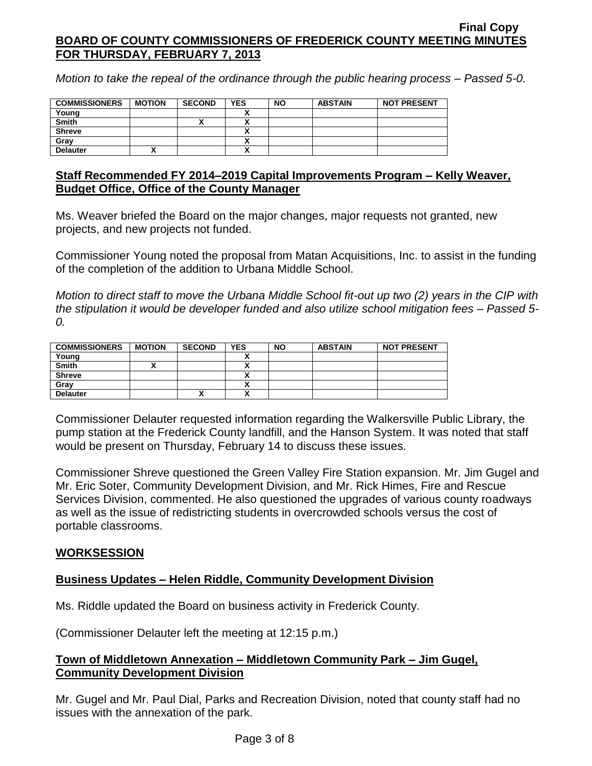*Motion to take the repeal of the ordinance through the public hearing process – Passed 5-0.*

| <b>COMMISSIONERS</b> | <b>MOTION</b> | <b>SECOND</b> | <b>YES</b> | <b>NO</b> | <b>ABSTAIN</b> | <b>NOT PRESENT</b> |
|----------------------|---------------|---------------|------------|-----------|----------------|--------------------|
| Young                |               |               |            |           |                |                    |
| <b>Smith</b>         |               |               |            |           |                |                    |
| <b>Shreve</b>        |               |               |            |           |                |                    |
| Gray                 |               |               |            |           |                |                    |
| <b>Delauter</b>      |               |               |            |           |                |                    |

## **Staff Recommended FY 2014–2019 Capital Improvements Program – Kelly Weaver, Budget Office, Office of the County Manager**

Ms. Weaver briefed the Board on the major changes, major requests not granted, new projects, and new projects not funded.

Commissioner Young noted the proposal from Matan Acquisitions, Inc. to assist in the funding of the completion of the addition to Urbana Middle School.

*Motion to direct staff to move the Urbana Middle School fit-out up two (2) years in the CIP with the stipulation it would be developer funded and also utilize school mitigation fees – Passed 5- 0.*

| <b>COMMISSIONERS</b> | <b>MOTION</b> | <b>SECOND</b> | <b>YES</b> | <b>NO</b> | <b>ABSTAIN</b> | <b>NOT PRESENT</b> |
|----------------------|---------------|---------------|------------|-----------|----------------|--------------------|
| Young                |               |               |            |           |                |                    |
| <b>Smith</b>         |               |               | ^          |           |                |                    |
| <b>Shreve</b>        |               |               | ^          |           |                |                    |
| Grav                 |               |               | ~          |           |                |                    |
| <b>Delauter</b>      |               |               | ^          |           |                |                    |

Commissioner Delauter requested information regarding the Walkersville Public Library, the pump station at the Frederick County landfill, and the Hanson System. It was noted that staff would be present on Thursday, February 14 to discuss these issues.

Commissioner Shreve questioned the Green Valley Fire Station expansion. Mr. Jim Gugel and Mr. Eric Soter, Community Development Division, and Mr. Rick Himes, Fire and Rescue Services Division, commented. He also questioned the upgrades of various county roadways as well as the issue of redistricting students in overcrowded schools versus the cost of portable classrooms.

# **WORKSESSION**

# **Business Updates – Helen Riddle, Community Development Division**

Ms. Riddle updated the Board on business activity in Frederick County.

(Commissioner Delauter left the meeting at 12:15 p.m.)

## **Town of Middletown Annexation – Middletown Community Park – Jim Gugel, Community Development Division**

Mr. Gugel and Mr. Paul Dial, Parks and Recreation Division, noted that county staff had no issues with the annexation of the park.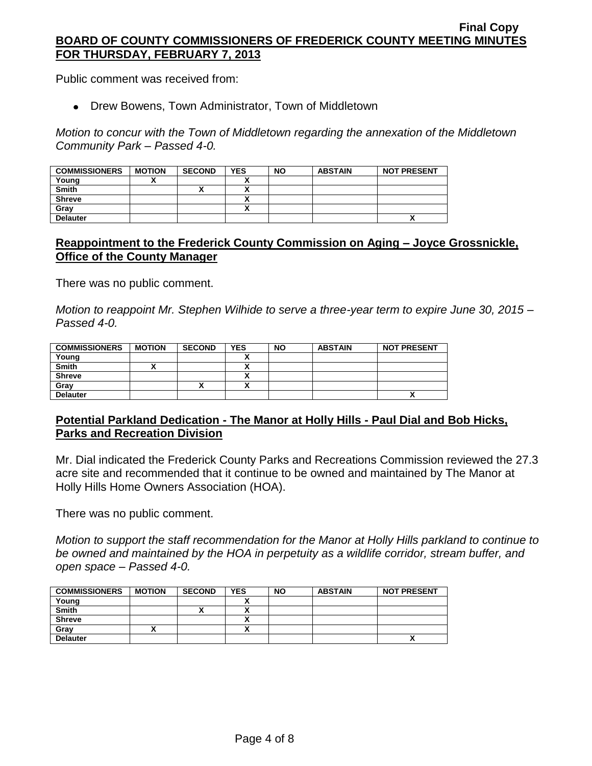Public comment was received from:

Drew Bowens, Town Administrator, Town of Middletown

*Motion to concur with the Town of Middletown regarding the annexation of the Middletown Community Park – Passed 4-0.*

| <b>COMMISSIONERS</b> | <b>MOTION</b> | <b>SECOND</b> | <b>YES</b> | <b>NO</b> | <b>ABSTAIN</b> | <b>NOT PRESENT</b> |
|----------------------|---------------|---------------|------------|-----------|----------------|--------------------|
| Young                |               |               |            |           |                |                    |
| <b>Smith</b>         |               | '             |            |           |                |                    |
| <b>Shreve</b>        |               |               |            |           |                |                    |
| Gray                 |               |               |            |           |                |                    |
| <b>Delauter</b>      |               |               |            |           |                | Λ                  |

## **Reappointment to the Frederick County Commission on Aging – Joyce Grossnickle, Office of the County Manager**

There was no public comment.

*Motion to reappoint Mr. Stephen Wilhide to serve a three-year term to expire June 30, 2015 – Passed 4-0.*

| <b>COMMISSIONERS</b> | <b>MOTION</b> | <b>SECOND</b> | <b>YES</b> | <b>NO</b> | <b>ABSTAIN</b> | <b>NOT PRESENT</b> |
|----------------------|---------------|---------------|------------|-----------|----------------|--------------------|
| Young                |               |               |            |           |                |                    |
| <b>Smith</b>         |               |               | ^          |           |                |                    |
| <b>Shreve</b>        |               |               | ~          |           |                |                    |
| Gray                 |               |               |            |           |                |                    |
| <b>Delauter</b>      |               |               |            |           |                |                    |

# **Potential Parkland Dedication - The Manor at Holly Hills - Paul Dial and Bob Hicks, Parks and Recreation Division**

Mr. Dial indicated the Frederick County Parks and Recreations Commission reviewed the 27.3 acre site and recommended that it continue to be owned and maintained by The Manor at Holly Hills Home Owners Association (HOA).

There was no public comment.

*Motion to support the staff recommendation for the Manor at Holly Hills parkland to continue to be owned and maintained by the HOA in perpetuity as a wildlife corridor, stream buffer, and open space – Passed 4-0.*

| <b>COMMISSIONERS</b> | <b>MOTION</b> | <b>SECOND</b> | <b>YES</b> | <b>NO</b> | <b>ABSTAIN</b> | <b>NOT PRESENT</b>        |
|----------------------|---------------|---------------|------------|-----------|----------------|---------------------------|
| Young                |               |               |            |           |                |                           |
| <b>Smith</b>         |               |               |            |           |                |                           |
| <b>Shreve</b>        |               |               |            |           |                |                           |
| Gray                 |               |               |            |           |                |                           |
| <b>Delauter</b>      |               |               |            |           |                | $\boldsymbol{\mathsf{r}}$ |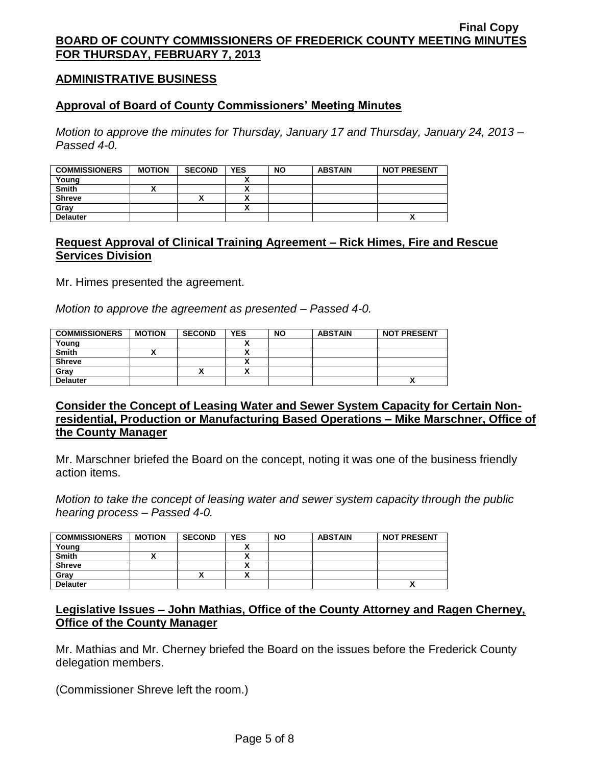### **ADMINISTRATIVE BUSINESS**

#### **Approval of Board of County Commissioners' Meeting Minutes**

*Motion to approve the minutes for Thursday, January 17 and Thursday, January 24, 2013 – Passed 4-0.*

| <b>COMMISSIONERS</b> | <b>MOTION</b> | <b>SECOND</b> | <b>YES</b> | <b>NO</b> | <b>ABSTAIN</b> | <b>NOT PRESENT</b> |
|----------------------|---------------|---------------|------------|-----------|----------------|--------------------|
| Young                |               |               |            |           |                |                    |
| <b>Smith</b>         |               |               |            |           |                |                    |
| <b>Shreve</b>        |               |               |            |           |                |                    |
| Gray                 |               |               |            |           |                |                    |
| <b>Delauter</b>      |               |               |            |           |                | Λ                  |

### **Request Approval of Clinical Training Agreement – Rick Himes, Fire and Rescue Services Division**

Mr. Himes presented the agreement.

*Motion to approve the agreement as presented – Passed 4-0.*

| <b>COMMISSIONERS</b> | <b>MOTION</b> | <b>SECOND</b> | <b>YES</b> | <b>NO</b> | <b>ABSTAIN</b> | <b>NOT PRESENT</b> |
|----------------------|---------------|---------------|------------|-----------|----------------|--------------------|
| Young                |               |               |            |           |                |                    |
| <b>Smith</b>         |               |               |            |           |                |                    |
| <b>Shreve</b>        |               |               |            |           |                |                    |
| Grav                 |               | "             |            |           |                |                    |
| <b>Delauter</b>      |               |               |            |           |                |                    |

**Consider the Concept of Leasing Water and Sewer System Capacity for Certain Nonresidential, Production or Manufacturing Based Operations – Mike Marschner, Office of the County Manager**

Mr. Marschner briefed the Board on the concept, noting it was one of the business friendly action items.

*Motion to take the concept of leasing water and sewer system capacity through the public hearing process – Passed 4-0.*

| <b>COMMISSIONERS</b> | <b>MOTION</b> | <b>SECOND</b> | <b>YES</b> | <b>NO</b> | <b>ABSTAIN</b> | <b>NOT PRESENT</b> |
|----------------------|---------------|---------------|------------|-----------|----------------|--------------------|
| Young                |               |               |            |           |                |                    |
| <b>Smith</b>         |               |               |            |           |                |                    |
| <b>Shreve</b>        |               |               |            |           |                |                    |
| Grav                 |               | "             |            |           |                |                    |
| <b>Delauter</b>      |               |               |            |           |                |                    |

## **Legislative Issues – John Mathias, Office of the County Attorney and Ragen Cherney, Office of the County Manager**

Mr. Mathias and Mr. Cherney briefed the Board on the issues before the Frederick County delegation members.

(Commissioner Shreve left the room.)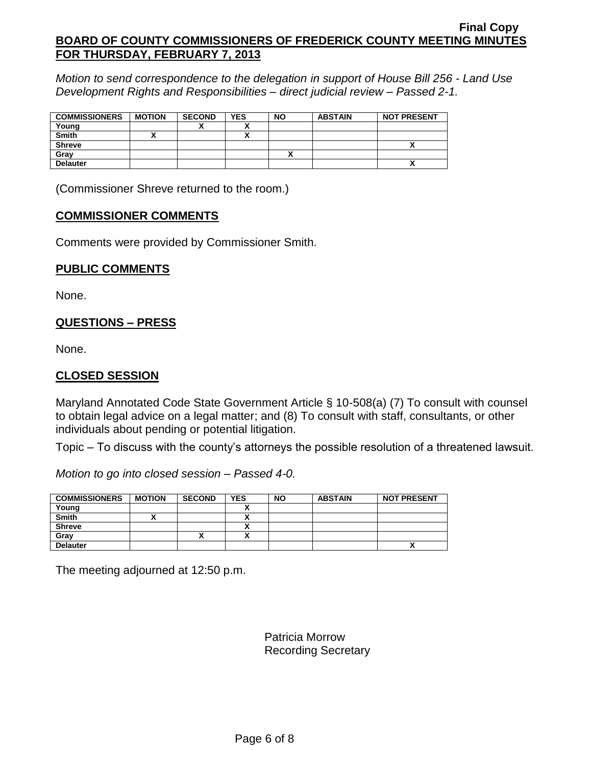*Motion to send correspondence to the delegation in support of House Bill 256 - Land Use Development Rights and Responsibilities – direct judicial review – Passed 2-1.*

| <b>COMMISSIONERS</b> | <b>MOTION</b> | <b>SECOND</b> | <b>YES</b> | <b>NO</b> | <b>ABSTAIN</b> | <b>NOT PRESENT</b> |
|----------------------|---------------|---------------|------------|-----------|----------------|--------------------|
| Young                |               |               |            |           |                |                    |
| <b>Smith</b>         |               |               |            |           |                |                    |
| <b>Shreve</b>        |               |               |            |           |                |                    |
| Gray                 |               |               |            |           |                |                    |
| <b>Delauter</b>      |               |               |            |           |                | ^                  |

(Commissioner Shreve returned to the room.)

### **COMMISSIONER COMMENTS**

Comments were provided by Commissioner Smith.

### **PUBLIC COMMENTS**

None.

# **QUESTIONS – PRESS**

None.

## **CLOSED SESSION**

Maryland Annotated Code State Government Article § 10-508(a) (7) To consult with counsel to obtain legal advice on a legal matter; and (8) To consult with staff, consultants, or other individuals about pending or potential litigation.

Topic – To discuss with the county's attorneys the possible resolution of a threatened lawsuit.

*Motion to go into closed session – Passed 4-0.*

| <b>COMMISSIONERS</b> | <b>MOTION</b> | <b>SECOND</b> | <b>YES</b> | <b>NO</b> | <b>ABSTAIN</b> | <b>NOT PRESENT</b> |
|----------------------|---------------|---------------|------------|-----------|----------------|--------------------|
| Young                |               |               |            |           |                |                    |
| <b>Smith</b>         |               |               |            |           |                |                    |
| <b>Shreve</b>        |               |               |            |           |                |                    |
| Grav                 |               |               | . .        |           |                |                    |
| <b>Delauter</b>      |               |               |            |           |                | Δ                  |

The meeting adjourned at 12:50 p.m.

Patricia Morrow Recording Secretary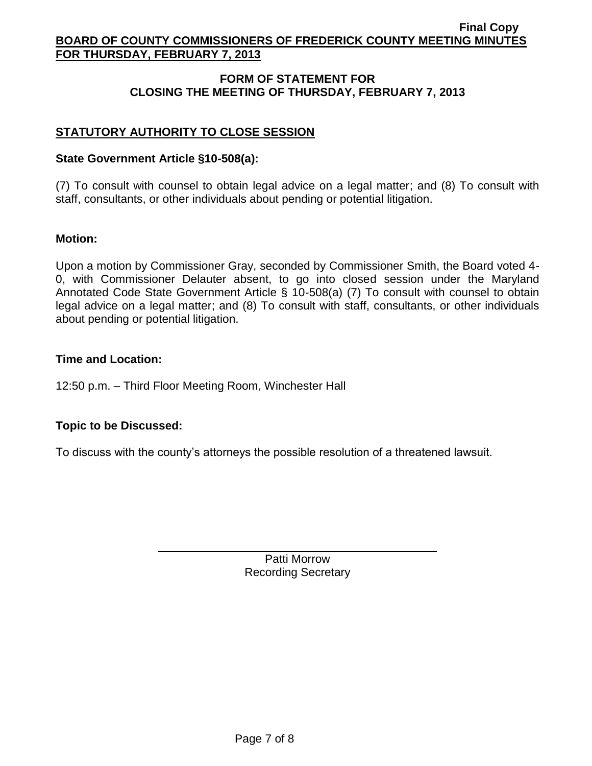# **FORM OF STATEMENT FOR CLOSING THE MEETING OF THURSDAY, FEBRUARY 7, 2013**

# **STATUTORY AUTHORITY TO CLOSE SESSION**

### **State Government Article §10-508(a):**

(7) To consult with counsel to obtain legal advice on a legal matter; and (8) To consult with staff, consultants, or other individuals about pending or potential litigation.

### **Motion:**

Upon a motion by Commissioner Gray, seconded by Commissioner Smith, the Board voted 4- 0, with Commissioner Delauter absent, to go into closed session under the Maryland Annotated Code State Government Article § 10-508(a) (7) To consult with counsel to obtain legal advice on a legal matter; and (8) To consult with staff, consultants, or other individuals about pending or potential litigation.

### **Time and Location:**

12:50 p.m. – Third Floor Meeting Room, Winchester Hall

## **Topic to be Discussed:**

To discuss with the county's attorneys the possible resolution of a threatened lawsuit.

Patti Morrow Recording Secretary